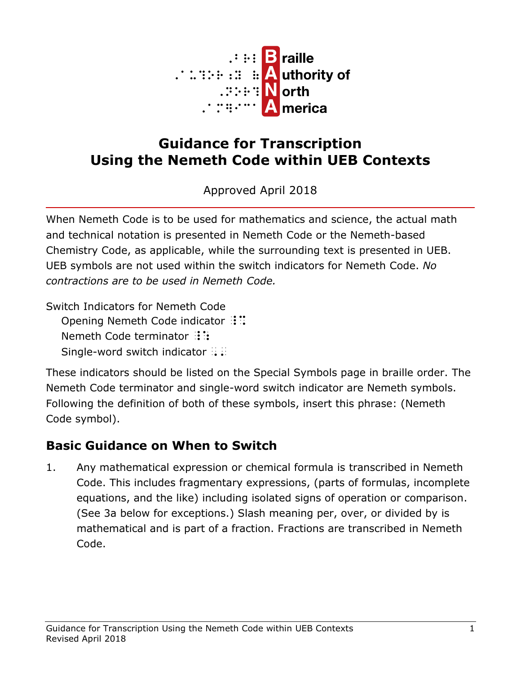

# **Guidance for Transcription Using the Nemeth Code within UEB Contexts**

Approved April 2018

When Nemeth Code is to be used for mathematics and science, the actual math and technical notation is presented in Nemeth Code or the Nemeth-based Chemistry Code, as applicable, while the surrounding text is presented in UEB. UEB symbols are not used within the switch indicators for Nemeth Code. *No contractions are to be used in Nemeth Code.*

Switch Indicators for Nemeth Code Opening Nemeth Code indicator ::: Nemeth Code terminator ::: Single-word switch indicator  $\mathbb{Z}$ .

These indicators should be listed on the Special Symbols page in braille order. The Nemeth Code terminator and single-word switch indicator are Nemeth symbols. Following the definition of both of these symbols, insert this phrase: (Nemeth Code symbol).

# **Basic Guidance on When to Switch**

1. Any mathematical expression or chemical formula is transcribed in Nemeth Code. This includes fragmentary expressions, (parts of formulas, incomplete equations, and the like) including isolated signs of operation or comparison. (See 3a below for exceptions.) Slash meaning per, over, or divided by is mathematical and is part of a fraction. Fractions are transcribed in Nemeth Code.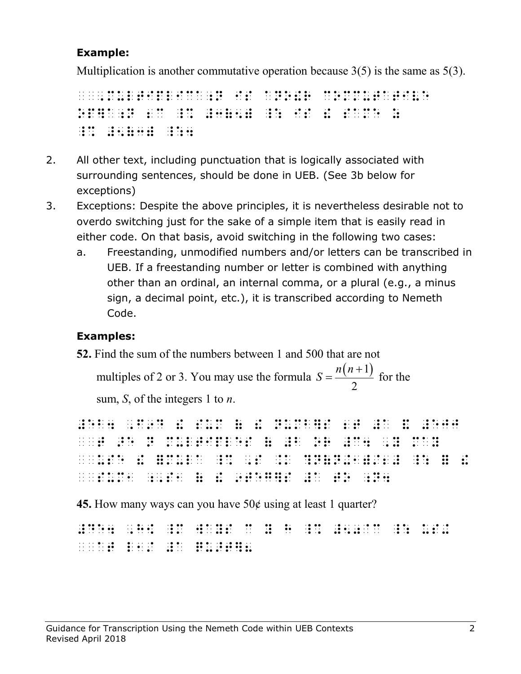Multiplication is another commutative operation because  $3(5)$  is the same as  $5(3)$ .

sistemente de la communista de la communista de la communista de la communista de la communista de la communis<br>De communista de la communista de la communista de la communista de la communista de la communista de la commu op as as an except the same strategy in the same strategy in the same strategy in the same strategy in the sam<br>The same strategy in the same strategy in the same strategy in the same strategy in the same strategy in the s<br> \_% #5(3) \_:4

- 2. All other text, including punctuation that is logically associated with surrounding sentences, should be done in UEB. (See 3b below for exceptions)
- 3. Exceptions: Despite the above principles, it is nevertheless desirable not to overdo switching just for the sake of a simple item that is easily read in either code. On that basis, avoid switching in the following two cases:
	- a. Freestanding, unmodified numbers and/or letters can be transcribed in UEB. If a freestanding number or letter is combined with anything other than an ordinal, an internal comma, or a plural (e.g., a minus sign, a decimal point, etc.), it is transcribed according to Nemeth Code.

## **Examples:**

**52.** Find the sum of the numbers between 1 and 500 that are not multiples of 2 or 3. You may use the formula  $(n+1)$ <sub>c</sub> 2 *n n S* +  $=\frac{n(n+1)}{2}$  for the sum, *S*, of the integers 1 to *n*.

#eb4 , principal and the companies of the second principal sum ( ) is a sum of the sum ( ) and ( ) is a sum of<br>The first particle in the sum ( ) and ( ) is a sum ( ) is a sum ( ) is a sum ( ) is a sum ( ) is a sum ( ) is<br>T ⠀⠀t >e n multiples ( #b or #c4 ,y may ;;;;;; di to di to a de di di di to a de l'internazionale de de la constitución de la constitución de la const<br>Julian de la computación de la constitución de la constitución de la constitución de la constitución de la co<br> istics of the theory is a top of the second theory is a top of the top of the second second second second secon<br>The second the second second second second second second second second second second second second second sec

**45.** How many ways can you have 50¢ using at least 1 quarter?

 $\frac{1}{2}$  , the contract of the contract of the contract of the contract of the contract of the contract of the contract of the contract of the contract of the contract of the contract of the contract of the contract of t , at light and the state of the state of the state of the state of the state of the state of the state of the<br>8. A quality and the state of the state of the state of the state of the state of the state of the state of t<br>8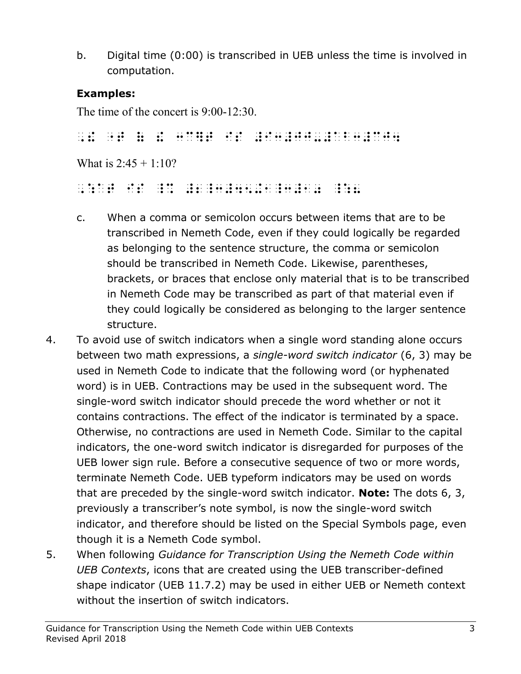b. Digital time (0:00) is transcribed in UEB unless the time is involved in computation.

# **Examples:**

The time of the concert is 9:00-12:30.

 $\frac{1}{2}$ ,  $\frac{1}{2}$ ,  $\frac{1}{2}$ ,  $\frac{1}{2}$ ,  $\frac{1}{2}$ ,  $\frac{1}{2}$ ,  $\frac{1}{2}$ ,  $\frac{1}{2}$ ,  $\frac{1}{2}$ ,  $\frac{1}{2}$ ,  $\frac{1}{2}$ ,  $\frac{1}{2}$ ,  $\frac{1}{2}$ ,  $\frac{1}{2}$ ,  $\frac{1}{2}$ ,  $\frac{1}{2}$ ,  $\frac{1}{2}$ ,  $\frac{1}{2}$ ,  $\frac{1}{2}$ ,  $\frac{1}{2}$ ,

What is  $2:45 + 1:10?$ 

,:at is a state of the second term of the second control of the second control of the second second second sec<br>- at is a state of the second second second second second second second second second second second second se<br>-

- c. When a comma or semicolon occurs between items that are to be transcribed in Nemeth Code, even if they could logically be regarded as belonging to the sentence structure, the comma or semicolon should be transcribed in Nemeth Code. Likewise, parentheses, brackets, or braces that enclose only material that is to be transcribed in Nemeth Code may be transcribed as part of that material even if they could logically be considered as belonging to the larger sentence structure.
- 4. To avoid use of switch indicators when a single word standing alone occurs between two math expressions, a *single-word switch indicator* (6, 3) may be used in Nemeth Code to indicate that the following word (or hyphenated word) is in UEB. Contractions may be used in the subsequent word. The single-word switch indicator should precede the word whether or not it contains contractions. The effect of the indicator is terminated by a space. Otherwise, no contractions are used in Nemeth Code. Similar to the capital indicators, the one-word switch indicator is disregarded for purposes of the UEB lower sign rule. Before a consecutive sequence of two or more words, terminate Nemeth Code. UEB typeform indicators may be used on words that are preceded by the single-word switch indicator. **Note:** The dots 6, 3, previously a transcriber's note symbol, is now the single-word switch indicator, and therefore should be listed on the Special Symbols page, even though it is a Nemeth Code symbol.
- 5. When following *Guidance for Transcription Using the Nemeth Code within UEB Contexts*, icons that are created using the UEB transcriber-defined shape indicator (UEB 11.7.2) may be used in either UEB or Nemeth context without the insertion of switch indicators.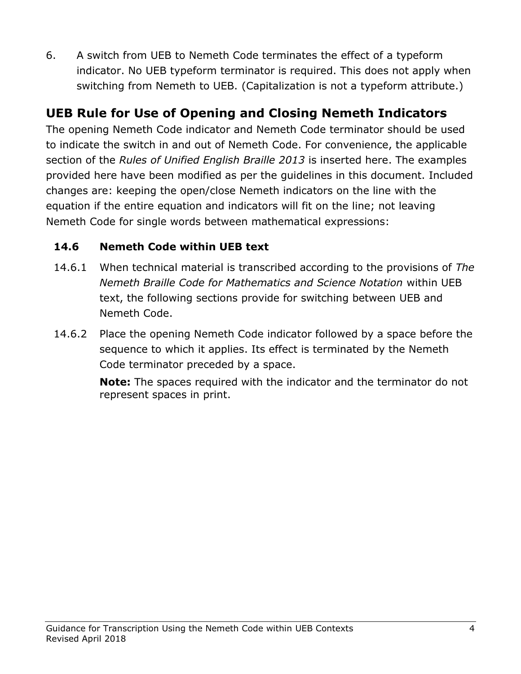6. A switch from UEB to Nemeth Code terminates the effect of a typeform indicator. No UEB typeform terminator is required. This does not apply when switching from Nemeth to UEB. (Capitalization is not a typeform attribute.)

# **UEB Rule for Use of Opening and Closing Nemeth Indicators**

The opening Nemeth Code indicator and Nemeth Code terminator should be used to indicate the switch in and out of Nemeth Code. For convenience, the applicable section of the *Rules of Unified English Braille 2013* is inserted here. The examples provided here have been modified as per the guidelines in this document. Included changes are: keeping the open/close Nemeth indicators on the line with the equation if the entire equation and indicators will fit on the line; not leaving Nemeth Code for single words between mathematical expressions:

#### **14.6 Nemeth Code within UEB text**

- 14.6.1 When technical material is transcribed according to the provisions of *The Nemeth Braille Code for Mathematics and Science Notation* within UEB text, the following sections provide for switching between UEB and Nemeth Code.
- 14.6.2 Place the opening Nemeth Code indicator followed by a space before the sequence to which it applies. Its effect is terminated by the Nemeth Code terminator preceded by a space.

**Note:** The spaces required with the indicator and the terminator do not represent spaces in print.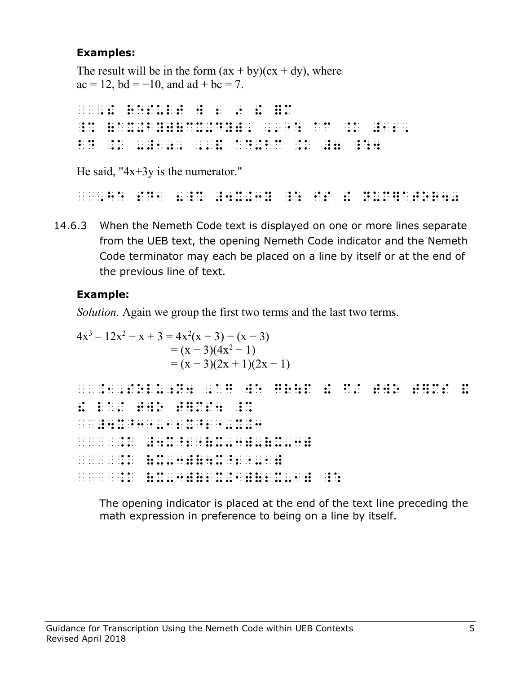The result will be in the form  $(ax + by)(cx + dy)$ , where  $ac = 12$ ,  $bd = -10$ , and  $ad + bc = 7$ .

⠀⠀,! result w 2 9 ! =m \_% (ax+by)(cx+dy), , ac .k #12, ac .k #12, ac .k #12, ac .k #12, ac .k #12, ac .k #12, ac .k #12, ac .k #12, a<br>-k #12, ac .k #12, ac .k #12, ac .k #12, ac .k #12, ac .k #12, ac .k #12, ac .k #12, ac .k #12, ac .k #12, ac<br>bd .k -#10, ,'& ad+bc .k #7 \_:4

He said, " $4x+3y$  is the numerator."

⠀⠀,he sd1 8\_% #4x+3y \_: is ! num]ator40

14.6.3 When the Nemeth Code text is displayed on one or more lines separate from the UEB text, the opening Nemeth Code indicator and the Nemeth Code terminator may each be placed on a line by itself or at the end of the previous line of text.

# **Example:**

*Solution.* Again we group the first two terms and the last two terms.

 $4x^3 - 12x^2 - x + 3 = 4x^2(x - 3) - (x - 3)$  $= (x - 3)(4x^2 - 1)$  $= (x - 3)(2x + 1)(2x - 1)$ .<br>1, solu;n4 , solu;n4 , ag we graph in the solution of the solution of the solution of the solution of the solu<br>1, solution and the solution of the solution of the solution of the solution of the solution of the solution ! la/ two t]ms4 \_% ⠀⠀#4x^3"-12x^2"-x+3 ⠀⠀⠀⠀.k #4x^2"(x-3)-(x-3)  $\ldots$  .  $\ldots$  .  $\ldots$  .  $\ldots$  .  $\ldots$  .  $\ldots$  .  $\ldots$  .  $\ldots$  .  $\ldots$  .  $\ldots$ .k (2x+1)(2x+1)(2x+2)(2x+2)(2x+2)(2x+2)(2x+2)(2x+2)(2x+2)(2x+2)(2x+2)(2x+2)(2x+2)(2x+2)(2x+2)(2x+2)(2x+2)(2x+2<br>(2x+1)(2x+1)(2x+1)(2x+2)(2x+2)(2x+2)(2x+2)(2x+2)(2x+2)(2x+2)(2x+2)(2x+2)(2x+2)(2x+2)(2x+2)(2x+2)(2x+2)(2x+2)(2

The opening indicator is placed at the end of the text line preceding the math expression in preference to being on a line by itself.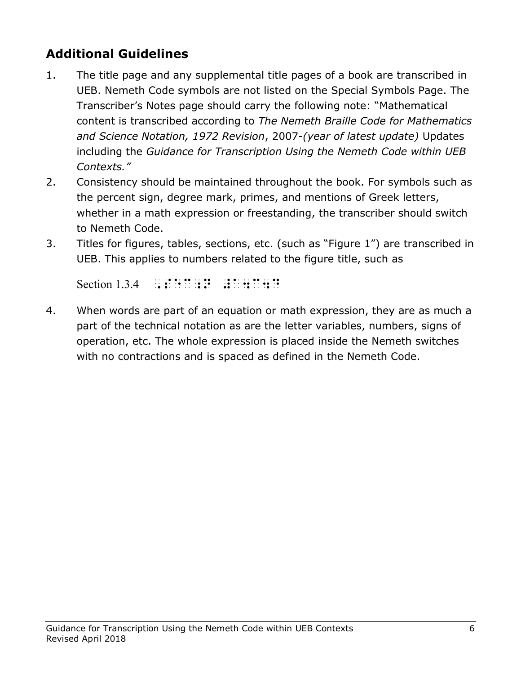# **Additional Guidelines**

- 1. The title page and any supplemental title pages of a book are transcribed in UEB. Nemeth Code symbols are not listed on the Special Symbols Page. The Transcriber's Notes page should carry the following note: "Mathematical content is transcribed according to *The Nemeth Braille Code for Mathematics and Science Notation, 1972 Revision*, 2007-*(year of latest update)* Updates including the *Guidance for Transcription Using the Nemeth Code within UEB Contexts."*
- 2. Consistency should be maintained throughout the book. For symbols such as the percent sign, degree mark, primes, and mentions of Greek letters, whether in a math expression or freestanding, the transcriber should switch to Nemeth Code.
- 3. Titles for figures, tables, sections, etc. (such as "Figure 1") are transcribed in UEB. This applies to numbers related to the figure title, such as

Section 1.3.4  $\therefore$   $\therefore$   $\therefore$   $\therefore$   $\therefore$   $\therefore$   $\therefore$   $\therefore$   $\therefore$   $\therefore$   $\therefore$   $\therefore$   $\therefore$   $\therefore$   $\therefore$   $\therefore$   $\therefore$   $\therefore$   $\therefore$   $\therefore$   $\therefore$   $\therefore$   $\therefore$   $\therefore$   $\therefore$   $\therefore$   $\therefore$   $\therefore$   $\therefore$   $\therefore$   $\therefore$   $\therefore$   $\therefore$   $\therefore$   $\there$ 

4. When words are part of an equation or math expression, they are as much a part of the technical notation as are the letter variables, numbers, signs of operation, etc. The whole expression is placed inside the Nemeth switches with no contractions and is spaced as defined in the Nemeth Code.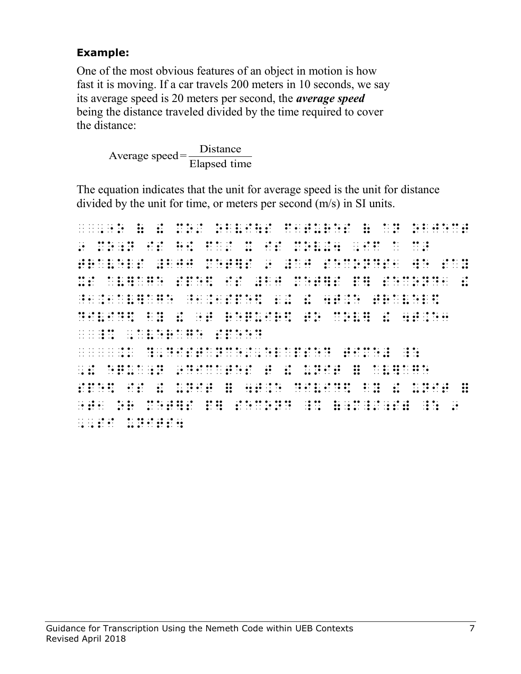One of the most obvious features of an object in motion is how fast it is moving. If a car travels 200 meters in 10 seconds, we say its average speed is 20 meters per second, the *average speed* being the distance traveled divided by the time required to cover the distance:

Average speed= $\frac{\text{Distance}}{\text{Flensed tir}}$ Distance<br>Elapsed time

The equation indicates that the unit for average speed is the unit for distance divided by the unit for time, or meters per second (m/s) in SI units.

.......... a. mo/ obvious and all the state of the state of the state of the state of the state of the state o<br>- Contract the state of the state of the state of the state of the state of the state of the state of the stat 9 mo; no de la constitución de la constitución de la constitución de la constitución de la constitución de la<br>19 movembre - Alexandria de la constitución de la constitución de la constitución de la constitución de la co<br>19 travels #bjj met]s 9 #aj seconds1 we say xs av age species species av species species av age species av species av age species species av age species s<br>Applications is presented to the species of the species and species average and species species species and a<br> ^1.1au 1980. 1980. 1980. 1980. 1980. 1980. 1980. 1980. 1991. 1992. 1992. 1993. 1994. 1995. 1996. 1996. 1996. 1<br>1996. 1996. 1996. 1996. 1996. 1996. 1996. 1996. 1996. 1996. 1996. 1997. 1997. 1997. 1997. 1998. 1999. 1999. 1<br>1 digividade de la divididad de la divididad de la divididad de la divididad de la divididad de la divididad de<br>1980 : de divididad de la divididad de la divididad de la divididad de la divididad de la digididad de la div<br>19 where the speed of the speed speed speed speed speed speed speed speed speed speed speed speed speed speed speed speed speed speed speed speed speed speed speed speed speed speed speed speed speed speed speed speed speed ⠀⠀⠀⠀.k ?,distance/,elapsed time# \_: , et la proposition de la segunda de de la proposition de la proposition de la proposition de la proposition<br>1960 : la proposition de la proposition de la proposition de la proposition de la proposition de la propositio<br>19 species for the species of the species of the species of the species of the species of the species of the spec<br>The species of the species of the species of the species of the species of the species of the species of the s<br>  $\frac{1}{2}$  or methods and the second compact that the second compact second conditions of the second compact that  $\frac{1}{2}$  $, \frac{1}{2}$ , si units4  $, \frac{1}{2}$ , si units4  $, \frac{1}{2}$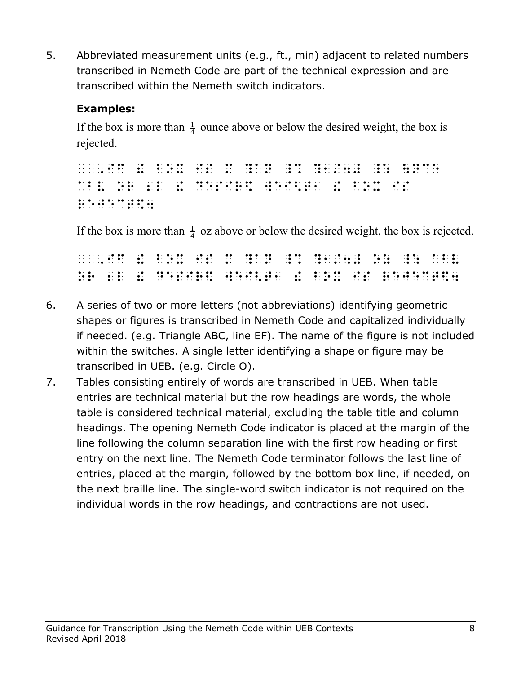5. Abbreviated measurement units (e.g., ft., min) adjacent to related numbers transcribed in Nemeth Code are part of the technical expression and are transcribed within the Nemeth switch indicators.

# **Examples:**

If the box is more than  $\frac{1}{4}$  $\frac{1}{4}$  ounce above or below the desired weight, the box is rejected.

 $\frac{1}{2}$ , if  $\frac{1}{2}$ , if  $\frac{1}{2}$ , if  $\frac{1}{2}$ , if  $\frac{1}{2}$ , if  $\frac{1}{2}$ , if  $\frac{1}{2}$ , if  $\frac{1}{2}$ , if  $\frac{1}{2}$ , if  $\frac{1}{2}$ , if  $\frac{1}{2}$ , if  $\frac{1}{2}$ , if  $\frac{1}{2}$ , if  $\frac{1}{2}$ , if  $\frac{1}{2}$ , if  $\frac{1}{2}$ , abvallari i abvalli i box absoluta i abvalli box i box islami box i box islami box islami box islami box.<br>1999 - 1999 - 1999 - 1999 - 1999 - 1999 - 1999 - 1999 - 1999 - 1999 - 1999 - 1999 - 1999 - 1999 - 1999 - 1999<br>1999 - $\frac{1}{21}$ 

If the box is more than  $\frac{1}{4}$  $\frac{1}{4}$  oz above or below the desired weight, the box is rejected.

is sistema de la companiera de la companiera de la companiera de la companiera de la companiera de la companie<br>1999 : absent de la companiera de la companiera de la companiera de la companiera de la companiera de la comp<br> or 2l ! desir\$ wei<t1 ! box is reject\$4

- 6. A series of two or more letters (not abbreviations) identifying geometric shapes or figures is transcribed in Nemeth Code and capitalized individually if needed. (e.g. Triangle ABC, line EF). The name of the figure is not included within the switches. A single letter identifying a shape or figure may be transcribed in UEB. (e.g. Circle O).
- 7. Tables consisting entirely of words are transcribed in UEB. When table entries are technical material but the row headings are words, the whole table is considered technical material, excluding the table title and column headings. The opening Nemeth Code indicator is placed at the margin of the line following the column separation line with the first row heading or first entry on the next line. The Nemeth Code terminator follows the last line of entries, placed at the margin, followed by the bottom box line, if needed, on the next braille line. The single-word switch indicator is not required on the individual words in the row headings, and contractions are not used.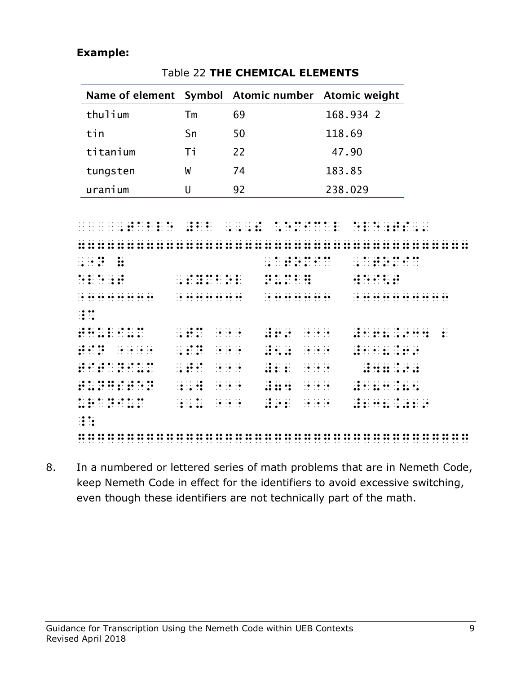$\frac{1}{2}$ 

| Name of element Symbol Atomic number Atomic weight |    |    |           |
|----------------------------------------------------|----|----|-----------|
| thulium                                            | Тm | 69 | 168,934 2 |
| tin                                                | Sn | 50 | 118.69    |
| titanium                                           | Τi | 22 | 47.90     |
| tungsten                                           | W  | 74 | 183.85    |
| uranium                                            | U  | 92 | 238,029   |

#### Table 22 **THE CHEMICAL ELEMENTS**

ico con considerativa de actual de actual de los considerativas de la actual de actual de la consideración de<br>Los considerativas de la consideración de la consideración de la consideración de la consideración de actual d<br>

|                                                              |                                                                                                        |  |                                                     |                                                                                                                                                                                |  |  |                                                     |                                                                               |  |                                                                                                                                                                                                                                                                                                                                                                                                                                                                                                                                                                                    |  |                                                                                                                                                                                                                                                                                                                                                                                                                                                              |  |  |                                                       | . | $\cdots$ |  |                                                                                                                                                                                                                                                                                                                                                                                                                                                                                                                                                                                     |  |            |                                               |  |
|--------------------------------------------------------------|--------------------------------------------------------------------------------------------------------|--|-----------------------------------------------------|--------------------------------------------------------------------------------------------------------------------------------------------------------------------------------|--|--|-----------------------------------------------------|-------------------------------------------------------------------------------|--|------------------------------------------------------------------------------------------------------------------------------------------------------------------------------------------------------------------------------------------------------------------------------------------------------------------------------------------------------------------------------------------------------------------------------------------------------------------------------------------------------------------------------------------------------------------------------------|--|--------------------------------------------------------------------------------------------------------------------------------------------------------------------------------------------------------------------------------------------------------------------------------------------------------------------------------------------------------------------------------------------------------------------------------------------------------------|--|--|-------------------------------------------------------|---|----------|--|-------------------------------------------------------------------------------------------------------------------------------------------------------------------------------------------------------------------------------------------------------------------------------------------------------------------------------------------------------------------------------------------------------------------------------------------------------------------------------------------------------------------------------------------------------------------------------------|--|------------|-----------------------------------------------|--|
|                                                              | $\cdots$<br>$\cdots$                                                                                   |  | $\bullet$ .<br>$\bullet\bullet$<br>$\bullet\bullet$ |                                                                                                                                                                                |  |  |                                                     |                                                                               |  |                                                                                                                                                                                                                                                                                                                                                                                                                                                                                                                                                                                    |  | $\mathbf{v} \cdot \mathbf{a} = \mathbf{v} \cdot \mathbf{v} + \mathbf{a} \cdot \mathbf{v} + \mathbf{a} \cdot \mathbf{v} + \mathbf{v} \cdot \mathbf{v} + \mathbf{v} \cdot \mathbf{v} + \mathbf{v} \cdot \mathbf{v} + \mathbf{v} \cdot \mathbf{v} + \mathbf{v} \cdot \mathbf{v} + \mathbf{v} \cdot \mathbf{v} + \mathbf{v} \cdot \mathbf{v} + \mathbf{v} \cdot \mathbf{v} + \mathbf{v} \cdot \mathbf{v} + \mathbf{v} \cdot \mathbf{v} + \mathbf{v} \cdot \math$ |  |  |                                                       |   |          |  | $\cdots$<br>$\cdots\qquad\cdots\quad\bullet\bullet\quad\cdots\bullet\quad\cdots\quad\bullet\qquad\cdots\quad\cdots$<br>$\mathbf{v} \cdot \mathbf{a} = \mathbf{v} \cdot \mathbf{v} + \mathbf{a} \cdot \mathbf{v} + \mathbf{a} \cdot \mathbf{v} + \mathbf{v} \cdot \mathbf{v} + \mathbf{v} \cdot \mathbf{v} + \mathbf{v} \cdot \mathbf{v} + \mathbf{v} \cdot \mathbf{v} + \mathbf{v} \cdot \mathbf{v} + \mathbf{v} \cdot \mathbf{v} + \mathbf{v} \cdot \mathbf{v} + \mathbf{v} \cdot \mathbf{v} + \mathbf{v} \cdot \mathbf{v} + \mathbf{v} \cdot \mathbf{v} + \mathbf{v} \cdot \math$ |  |            |                                               |  |
|                                                              | $\cdot\bullet\bullet\cdot\cdot\bullet\cdot\bullet\bullet\bullet\bullet$<br>$\cdots$                    |  |                                                     |                                                                                                                                                                                |  |  |                                                     |                                                                               |  | $\cdots \quad \bullet \quad \cdots \quad \bullet \quad \cdots \quad \bullet \quad \cdots \quad \bullet \quad \bullet \quad \bullet \quad \cdots$<br>$\mathbf{v} \cdot \mathbf{0} = \mathbf{0} + \mathbf{0} + \mathbf{0} + \mathbf{0} + \mathbf{0} + \mathbf{0} + \mathbf{0} + \mathbf{0} + \mathbf{0} + \mathbf{0} + \mathbf{0} + \mathbf{0} + \mathbf{0} + \mathbf{0} + \mathbf{0} + \mathbf{0} + \mathbf{0} + \mathbf{0} + \mathbf{0} + \mathbf{0} + \mathbf{0} + \mathbf{0} + \mathbf{0} + \mathbf{0} + \mathbf{0} + \mathbf{0} + \mathbf{0} + \mathbf{0} + \mathbf{0} + \math$ |  | $\bullet\cdot\hspace{0.1cm} \bullet\bullet\hspace{0.1cm}\bullet\hspace{0.1cm}\cdot\hspace{0.1cm}\cdot\hspace{0.1cm}\cdot\hspace{0.1cm}\cdot\hspace{0.1cm}\bullet$                                                                                                                                                                                                                                                                                            |  |  |                                                       |   |          |  | $\cdots \bullet \bullet \cdot \cdots \bullet \bullet \cdot \cdots \bullet$                                                                                                                                                                                                                                                                                                                                                                                                                                                                                                          |  |            |                                               |  |
|                                                              |                                                                                                        |  |                                                     | .<br>$\cdot$ .<br>.                                                                                                                                                            |  |  |                                                     |                                                                               |  | .<br>$\cdot$ .<br>.                                                                                                                                                                                                                                                                                                                                                                                                                                                                                                                                                                |  | $\cdot$ .<br>.                                                                                                                                                                                                                                                                                                                                                                                                                                               |  |  | .                                                     |   |          |  |                                                                                                                                                                                                                                                                                                                                                                                                                                                                                                                                                                                     |  | .          |                                               |  |
| $\cdot \bullet \cdot \cdot$<br>$\cdot \bullet \cdot \bullet$ | $\cdot \bullet \bullet \bullet$                                                                        |  |                                                     |                                                                                                                                                                                |  |  |                                                     |                                                                               |  |                                                                                                                                                                                                                                                                                                                                                                                                                                                                                                                                                                                    |  |                                                                                                                                                                                                                                                                                                                                                                                                                                                              |  |  |                                                       |   |          |  |                                                                                                                                                                                                                                                                                                                                                                                                                                                                                                                                                                                     |  |            |                                               |  |
|                                                              |                                                                                                        |  |                                                     | $\mathbf{1} \oplus \mathbf{0} \oplus \mathbf{1} \oplus \mathbf{0} \oplus \mathbf{0} \oplus \mathbf{1} \oplus \mathbf{0} \oplus \mathbf{0} \oplus \mathbf{0} \oplus \mathbf{0}$ |  |  | $\cdot$ $\cdot$ $\bullet$ $\bullet$ $\cdot$ $\cdot$ | $\cdots$<br>$\cdot$                                                           |  | .<br>$\cdot\bullet\ \cdot\bullet\ \cdot\bullet$<br>.                                                                                                                                                                                                                                                                                                                                                                                                                                                                                                                               |  | $\cdot \bullet \cdot \cdot \cdot \cdot \cdot$<br>$\cdot$<br>$\bullet\bullet\bullet\bullet\cdot\bullet\cdot$                                                                                                                                                                                                                                                                                                                                                  |  |  | .<br>$\cdot\cdot\cdot\cdot\cdot$<br>.                 |   |          |  |                                                                                                                                                                                                                                                                                                                                                                                                                                                                                                                                                                                     |  | . <b>.</b> | $\cdot$ $\cdot$<br>$\bullet$ .<br>$\bullet$ . |  |
|                                                              | $\cdot \bullet \cdot \bullet \bullet \bullet$<br>$\cdots$<br>$\bullet \cdot \cdot \cdot \bullet \cdot$ |  |                                                     | .<br>$\cdots$<br>.                                                                                                                                                             |  |  | $\cdots$<br>$\cdots$                                | $\cdot$                                                                       |  | .<br>$\cdot\bullet\ \cdot\bullet\ \cdot\bullet$<br>.                                                                                                                                                                                                                                                                                                                                                                                                                                                                                                                               |  | $\cdot \bullet \cdot \cdot \cdot \cdot \cdot$<br>$\cdot\bullet\bullet\cdot\cdot\bullet\bullet$<br>$\cdots$                                                                                                                                                                                                                                                                                                                                                   |  |  | .<br>$\cdots$<br>.                                    |   |          |  | $\cdots \bullet \quad \cdots \quad \cdots \quad \cdots \quad \cdots \bullet \quad \cdots \quad \cdots \bullet$                                                                                                                                                                                                                                                                                                                                                                                                                                                                      |  |            |                                               |  |
|                                                              |                                                                                                        |  |                                                     |                                                                                                                                                                                |  |  |                                                     | $\cdots$<br>$\cdots$                                                          |  | .<br>$\cdot$<br>.                                                                                                                                                                                                                                                                                                                                                                                                                                                                                                                                                                  |  | $\cdot \bullet \cdot \cdot \cdot \cdot \cdot$<br>$\bullet\bullet\bullet\bullet\cdot\bullet\cdot$                                                                                                                                                                                                                                                                                                                                                             |  |  | .<br>$\cdot$<br>.                                     |   |          |  | $\cdot\bullet\cdot\cdot\cdot\cdot\cdot\cdot\bullet\cdot\cdot\cdot\cdot\cdot$<br>$\bullet\bullet\ \cdot\bullet\ \bullet\bullet\ \cdot\bullet\ \bullet\ \cdot\ \bullet\bullet$                                                                                                                                                                                                                                                                                                                                                                                                        |  |            |                                               |  |
|                                                              |                                                                                                        |  |                                                     |                                                                                                                                                                                |  |  |                                                     | $\cdots$ $\bullet$<br>$\cdot\bullet\,\cdot\,\cdot\,\bullet\bullet$<br>$\cdot$ |  | .<br>$\cdot\bullet\ \cdot\bullet\ \cdot\bullet$<br>.                                                                                                                                                                                                                                                                                                                                                                                                                                                                                                                               |  | $\cdots$<br>$\cdot\bullet\bullet\bullet\bullet\bullet$<br>$\cdots$                                                                                                                                                                                                                                                                                                                                                                                           |  |  | .<br>$\cdot \bullet \cdot \bullet \cdot \bullet$<br>. |   |          |  |                                                                                                                                                                                                                                                                                                                                                                                                                                                                                                                                                                                     |  |            |                                               |  |

uranium ;,u """ #92 """ #238.029

gggggggggggggggggggggggggggggggggggggggg

8. In a numbered or lettered series of math problems that are in Nemeth Code, keep Nemeth Code in effect for the identifiers to avoid excessive switching, even though these identifiers are not technically part of the math.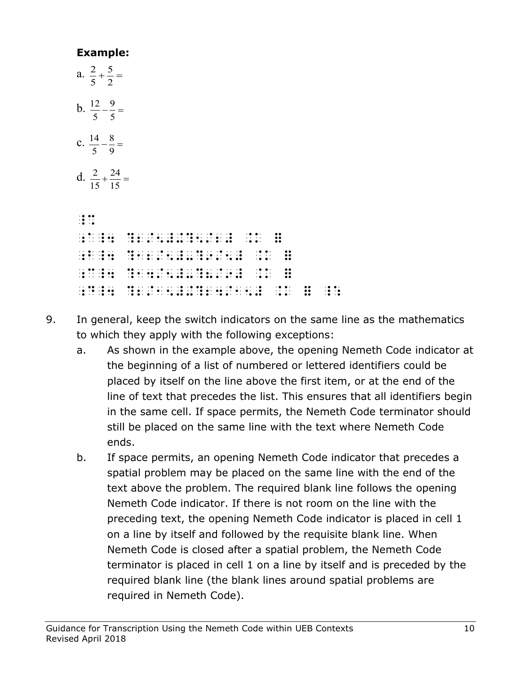| a. $\frac{2}{5} + \frac{5}{2} =$    |                                                                                                                                            |  |  |  |  |                          |  |   |  |                     |   |                                        |             |  |  |
|-------------------------------------|--------------------------------------------------------------------------------------------------------------------------------------------|--|--|--|--|--------------------------|--|---|--|---------------------|---|----------------------------------------|-------------|--|--|
| b. $\frac{12}{5} - \frac{9}{5} =$   |                                                                                                                                            |  |  |  |  |                          |  |   |  |                     |   |                                        |             |  |  |
| c. $\frac{14}{5} - \frac{8}{9} =$   |                                                                                                                                            |  |  |  |  |                          |  |   |  |                     |   |                                        |             |  |  |
| d. $\frac{2}{15} + \frac{24}{15} =$ |                                                                                                                                            |  |  |  |  |                          |  |   |  |                     |   |                                        |             |  |  |
| $\mathbb{R}^n$                      |                                                                                                                                            |  |  |  |  |                          |  |   |  |                     |   |                                        |             |  |  |
|                                     | $\mathbb{R}^2$ , $\mathbb{R}^2$ , $\mathbb{R}^2$                                                                                           |  |  |  |  | <b>ANDREAD AND AND A</b> |  |   |  |                     | ∷ |                                        |             |  |  |
|                                     |                                                                                                                                            |  |  |  |  |                          |  |   |  | $\frac{1}{2}$       |   | $\bullet\bullet$<br>$\ddot{\cdot}$     |             |  |  |
|                                     |                                                                                                                                            |  |  |  |  |                          |  | . |  | $\frac{1}{2}$       |   | $\bullet\bullet$                       |             |  |  |
|                                     | <b>SE 18 SE</b><br>$\begin{array}{cccccccccccccc} \cdot & \bullet & \cdot & \cdot & \cdot & \cdot & \bullet & \cdot & \bullet \end{array}$ |  |  |  |  |                          |  |   |  | $\cdot\cdot\bullet$ |   | $\sim$ $\sim$ $\sim$ $\sim$<br>$\cdot$ | $\ddot{::}$ |  |  |

- 9. In general, keep the switch indicators on the same line as the mathematics to which they apply with the following exceptions:
	- a. As shown in the example above, the opening Nemeth Code indicator at the beginning of a list of numbered or lettered identifiers could be placed by itself on the line above the first item, or at the end of the line of text that precedes the list. This ensures that all identifiers begin in the same cell. If space permits, the Nemeth Code terminator should still be placed on the same line with the text where Nemeth Code ends.
	- b. If space permits, an opening Nemeth Code indicator that precedes a spatial problem may be placed on the same line with the end of the text above the problem. The required blank line follows the opening Nemeth Code indicator. If there is not room on the line with the preceding text, the opening Nemeth Code indicator is placed in cell 1 on a line by itself and followed by the requisite blank line. When Nemeth Code is closed after a spatial problem, the Nemeth Code terminator is placed in cell 1 on a line by itself and is preceded by the required blank line (the blank lines around spatial problems are required in Nemeth Code).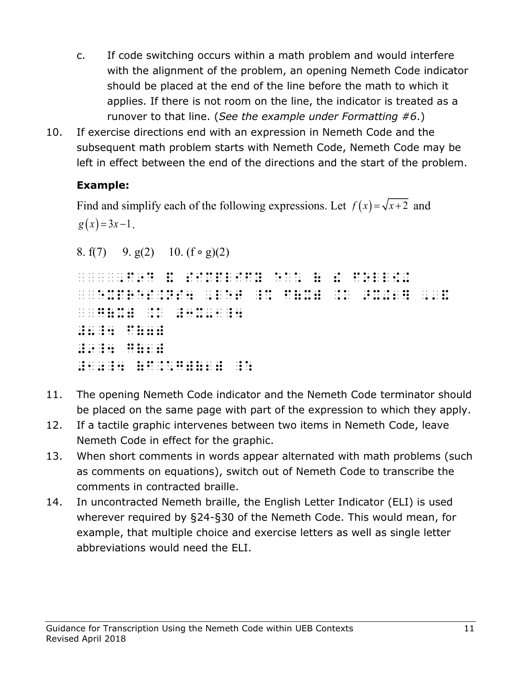- c. If code switching occurs within a math problem and would interfere with the alignment of the problem, an opening Nemeth Code indicator should be placed at the end of the line before the math to which it applies. If there is not room on the line, the indicator is treated as a runover to that line. (*See the example under Formatting #6*.)
- 10. If exercise directions end with an expression in Nemeth Code and the subsequent math problem starts with Nemeth Code, Nemeth Code may be left in effect between the end of the directions and the start of the problem.

Find and simplify each of the following expressions. Let  $f(x) = \sqrt{x+2}$  and  $g(x) = 3x-1$ .

```
8. f(7) 9. g(2) 10. (f ∘ g)(2)
```

```
⠀⠀⠀⠀,f9d & simplify ea* ( ! foll[+
⠀⠀expres.ns4 ,let _% f(x) .k >x+2] ,'&
⠀⠀g(x) .k #3x-1_4
#8_4 f(7)
#9_4 g(2)
#10_4 (f.*g)(2) _:
```
- 11. The opening Nemeth Code indicator and the Nemeth Code terminator should be placed on the same page with part of the expression to which they apply.
- 12. If a tactile graphic intervenes between two items in Nemeth Code, leave Nemeth Code in effect for the graphic.
- 13. When short comments in words appear alternated with math problems (such as comments on equations), switch out of Nemeth Code to transcribe the comments in contracted braille.
- 14. In uncontracted Nemeth braille, the English Letter Indicator (ELI) is used wherever required by §24-§30 of the Nemeth Code. This would mean, for example, that multiple choice and exercise letters as well as single letter abbreviations would need the ELI.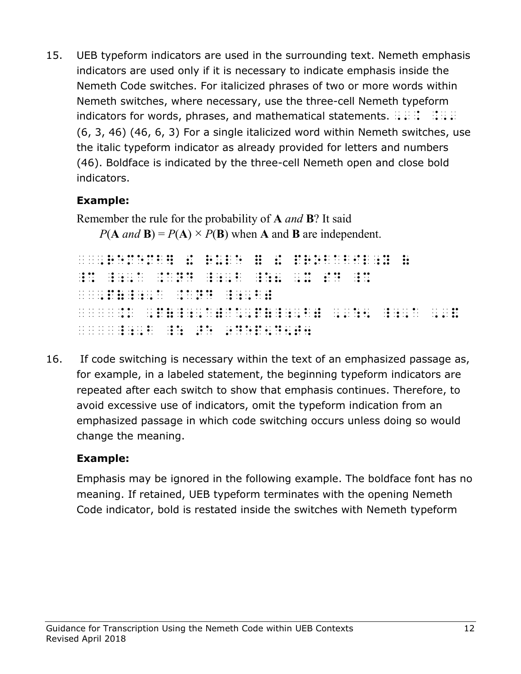15. UEB typeform indicators are used in the surrounding text. Nemeth emphasis indicators are used only if it is necessary to indicate emphasis inside the Nemeth Code switches. For italicized phrases of two or more words within Nemeth switches, where necessary, use the three-cell Nemeth typeform indicators for words, phrases, and mathematical statements.  $\mathbb{R} \times \mathbb{R} \times \mathbb{R}$ (6, 3, 46) (46, 6, 3) For a single italicized word within Nemeth switches, use the italic typeform indicator as already provided for letters and numbers (46). Boldface is indicated by the three-cell Nemeth open and close bold indicators.

## **Example:**

Remember the rule for the probability of **A** *and* **B**? It said

 $P(A \text{ and } B) = P(A) \times P(B)$  when **A** and **B** are independent.

in in the Brown Brown Brown (1988) . De Brown Brown (1988) . De Brown Brown Brown Brits Brown Brown (1988) .<br>In the top the the train Brown (1988) . Box the train (1988) . Bit Brown Brown Brown Brown Brown (1988) . Box<br>In  $\frac{1}{2}$  , and  $\frac{1}{2}$  , and  $\frac{1}{2}$  , and  $\frac{1}{2}$  , and  $\frac{1}{2}$  , and  $\frac{1}{2}$  , and  $\frac{1}{2}$  , and  $\frac{1}{2}$  , and  $\frac{1}{2}$  , and  $\frac{1}{2}$  , and  $\frac{1}{2}$  , and  $\frac{1}{2}$  , and  $\frac{1}{2}$  , and  $\frac{1}{2}$  , a ⠀⠀,p(\_;,a .and \_;,b) ⠀⠀⠀⠀.k ,p(\_;,a)@\*,p(\_;,b) ,':5 \_;,a ,'& ⠀⠀⠀⠀\_;,b \_: >e 9dep5d5t4

16. If code switching is necessary within the text of an emphasized passage as, for example, in a labeled statement, the beginning typeform indicators are repeated after each switch to show that emphasis continues. Therefore, to avoid excessive use of indicators, omit the typeform indication from an emphasized passage in which code switching occurs unless doing so would change the meaning.

# **Example:**

Emphasis may be ignored in the following example. The boldface font has no meaning. If retained, UEB typeform terminates with the opening Nemeth Code indicator, bold is restated inside the switches with Nemeth typeform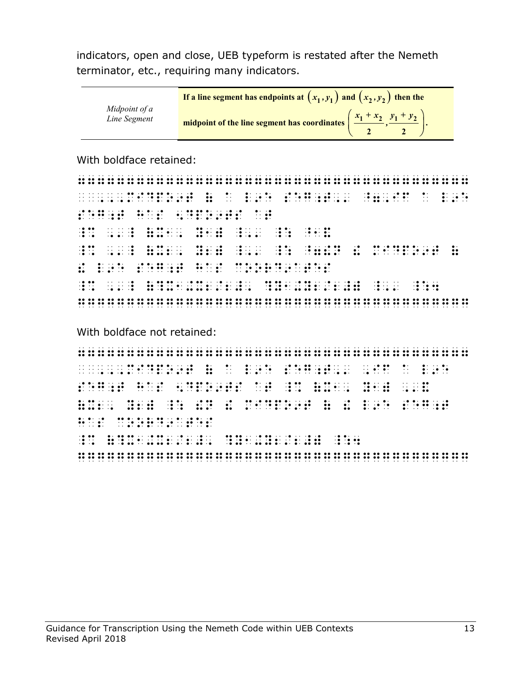indicators, open and close, UEB typeform is restated after the Nemeth terminator, etc., requiring many indicators.

|                               | If a line segment has endpoints at $(x_1, y_1)$ and $(x_2, y_2)$ then the                                            |  |
|-------------------------------|----------------------------------------------------------------------------------------------------------------------|--|
| Midpoint of a<br>Line Segment | midpoint of the line segment has coordinates $\left(\frac{x_1 + x_2}{x_1 + x_2}, \frac{y_1 + y_2}{x_1 + x_2}\right)$ |  |

With boldface retained:

7777777777777777777777777777777777777777 in in the company of the Carlos Company of the Carlos Company of the Carlos Company of the Carlos Company of t<br>The company of the Carlos Carlos Company of the Carlos Carlos Carlos Company of the Carlos Company of the Carl seg at the seg at the seg at the seg at the seg at the seg at the seg at the seg at the seg at the seg at the<br>The form of the seg at the seg at the seg at the seg at the seg at the seg at the seg at the seg at the seg a<br>Th \_% ,'\_ (x1, y1) \_,' \_: ^1&  $\frac{1}{2}$  ,  $\frac{1}{2}$  ,  $\frac{1}{2}$  ,  $\frac{1}{2}$  ,  $\frac{1}{2}$  ,  $\frac{1}{2}$  ,  $\frac{1}{2}$  ,  $\frac{1}{2}$  ,  $\frac{1}{2}$  ,  $\frac{1}{2}$  ,  $\frac{1}{2}$  ,  $\frac{1}{2}$  ,  $\frac{1}{2}$  ,  $\frac{1}{2}$  ,  $\frac{1}{2}$  ,  $\frac{1}{2}$  ,  $\frac{1}{2}$  ,  $\frac{1}{2}$  ,  $\frac{1$  $\begin{bmatrix} 0 & 0 & 0 & 0 & 0 \\ 0 & 0 & 0 & 0 & 0 \\ 0 & 0 & 0 & 0 & 0 \\ 0 & 0 & 0 & 0 & 0 \\ 0 & 0 & 0 & 0 & 0 \\ 0 & 0 & 0 & 0 & 0 \\ 0 & 0 & 0 & 0 & 0 \\ 0 & 0 & 0 & 0 & 0 \\ 0 & 0 & 0 & 0 & 0 \\ 0 & 0 & 0 & 0 & 0 \\ 0 & 0 & 0 & 0 & 0 \\ 0 & 0 & 0 & 0 & 0 \\ 0 & 0 & 0 & 0 & 0 \\ 0 & 0 & 0 & 0 & 0 \\ 0 &$  $\frac{1}{2}$  ,  $\frac{1}{2}$  ,  $\frac{1}{2}$  ,  $\frac{1}{2}$  ,  $\frac{1}{2}$  ,  $\frac{1}{2}$  ,  $\frac{1}{2}$  ,  $\frac{1}{2}$  ,  $\frac{1}{2}$  ,  $\frac{1}{2}$  ,  $\frac{1}{2}$  ,  $\frac{1}{2}$  ,  $\frac{1}{2}$  ,  $\frac{1}{2}$  ,  $\frac{1}{2}$  ,  $\frac{1}{2}$  ,  $\frac{1}{2}$  ,  $\frac{1}{2}$  ,  $\frac{1$ gggggggggggggggggggggggggggggggggggggggg

With boldface not retained:

7777777777777777777777777777777777777777 ⠀⠀,,,midpo9t ( a l9e seg;t,' ,if a l9e seg de la componia de la componia de la componia de la componia de la componia de la componia de la componia<br>1955 - La componia de la componia de la componia de la componia de la componia de la componia de la componia<br>1955 (x2) and the second control of the second control of the second control of the second control of the second co<br>The second control of the second control of the second control of the second control of the second control of<br>T has coord9ates \_% (?x1+x2/2#, ?y1+y2/2#) \_:4 gggggggggggggggggggggggggggggggggggggggg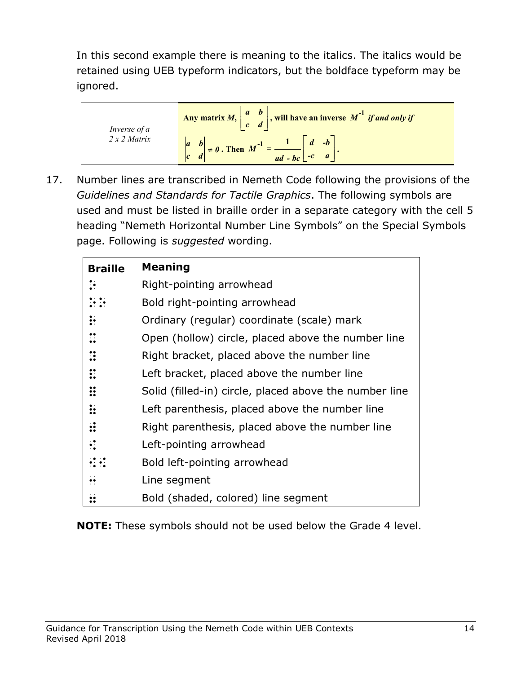In this second example there is meaning to the italics. The italics would be retained using UEB typeform indicators, but the boldface typeform may be ignored.

*Inverse of a*  
\n*2 x 2 Matrix*  
\n
$$
\begin{vmatrix}\na & b \\
2 & d\n\end{vmatrix}
$$
, will have an inverse  $M^{-1}$  if and only if  
\n $2x 2$  Matrix  
\n
$$
\begin{vmatrix}\na & b \\
c & d\n\end{vmatrix} \neq 0
$$
. Then  $M^{-1} = \frac{1}{ad - bc} \begin{bmatrix} d & -b \\ -c & a \end{bmatrix}$ .

17. Number lines are transcribed in Nemeth Code following the provisions of the *Guidelines and Standards for Tactile Graphics*. The following symbols are used and must be listed in braille order in a separate category with the cell 5 heading "Nemeth Horizontal Number Line Symbols" on the Special Symbols page. Following is *suggested* wording.

| <b>Braille</b>        | <b>Meaning</b>                                         |
|-----------------------|--------------------------------------------------------|
| ∷                     | Right-pointing arrowhead                               |
|                       | Bold right-pointing arrowhead                          |
| ∺                     | Ordinary (regular) coordinate (scale) mark             |
| $\ddot{\cdot}$        | Open (hollow) circle, placed above the number line     |
| $\ddot{\ddot{\cdot}}$ | Right bracket, placed above the number line            |
| ።                     | Left bracket, placed above the number line             |
| $\mathbf{ii}$         | Solid (filled-in) circle, placed above the number line |
| $\vdots$              | Left parenthesis, placed above the number line         |
| $\vdots$              | Right parenthesis, placed above the number line        |
| $\ddot{\cdot}$        | Left-pointing arrowhead                                |
|                       | Bold left-pointing arrowhead                           |
| $\vdots$              | Line segment                                           |
|                       | Bold (shaded, colored) line segment                    |

**NOTE:** These symbols should not be used below the Grade 4 level.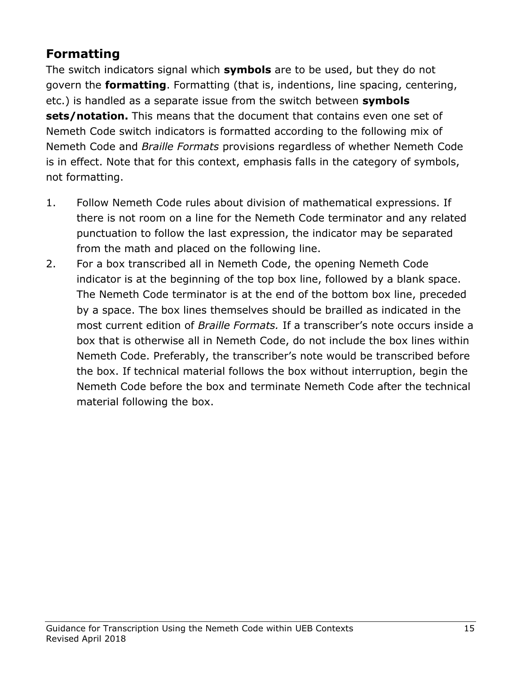# **Formatting**

The switch indicators signal which **symbols** are to be used, but they do not govern the **formatting**. Formatting (that is, indentions, line spacing, centering, etc.) is handled as a separate issue from the switch between **symbols sets/notation.** This means that the document that contains even one set of Nemeth Code switch indicators is formatted according to the following mix of Nemeth Code and *Braille Formats* provisions regardless of whether Nemeth Code is in effect. Note that for this context, emphasis falls in the category of symbols, not formatting.

- 1. Follow Nemeth Code rules about division of mathematical expressions. If there is not room on a line for the Nemeth Code terminator and any related punctuation to follow the last expression, the indicator may be separated from the math and placed on the following line.
- 2. For a box transcribed all in Nemeth Code, the opening Nemeth Code indicator is at the beginning of the top box line, followed by a blank space. The Nemeth Code terminator is at the end of the bottom box line, preceded by a space. The box lines themselves should be brailled as indicated in the most current edition of *Braille Formats.* If a transcriber's note occurs inside a box that is otherwise all in Nemeth Code, do not include the box lines within Nemeth Code. Preferably, the transcriber's note would be transcribed before the box. If technical material follows the box without interruption, begin the Nemeth Code before the box and terminate Nemeth Code after the technical material following the box.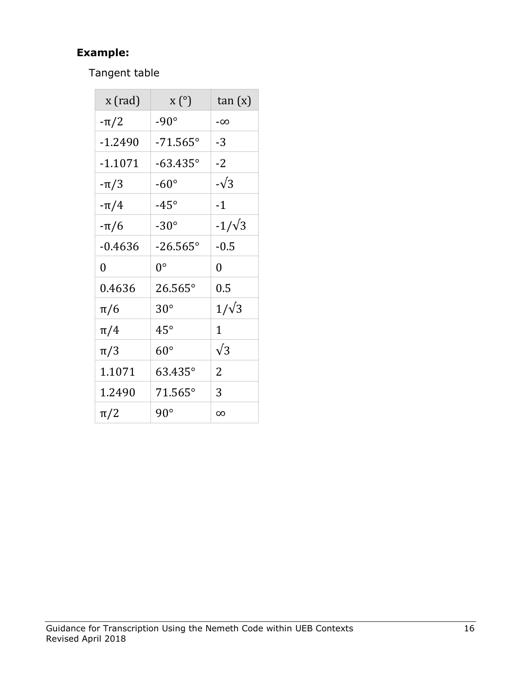Tangent table

| x (rad)        | X <sup>o</sup>    | tan(x)         |
|----------------|-------------------|----------------|
| $-\pi/2$       | $-90^\circ$       | $-\infty$      |
| $-1.2490$      | $-71.565^{\circ}$ | $-3$           |
| $-1.1071$      | $-63.435^{\circ}$ | $-2$           |
| $-\pi/3$       | $-60^\circ$       | $-\sqrt{3}$    |
| $-\pi/4$       | $-45^\circ$       | $-1$           |
| $-\pi/6$       | $-30^\circ$       | $-1/\sqrt{3}$  |
| $-0.4636$      | $-26.565^{\circ}$ | $-0.5$         |
| $\overline{0}$ | $0^{\circ}$       | $\overline{0}$ |
| 0.4636         | 26.565°           | 0.5            |
| $\pi/6$        | $30^\circ$        | $1/\sqrt{3}$   |
| $\pi/4$        | $45^{\circ}$      | $\mathbf{1}$   |
| $\pi/3$        | $60^{\circ}$      | $\sqrt{3}$     |
| 1.1071         | $63.435^{\circ}$  | $\overline{2}$ |
| 1.2490         | $71.565^\circ$    | 3              |
| $\pi/2$        | $90^{\circ}$      | $\infty$       |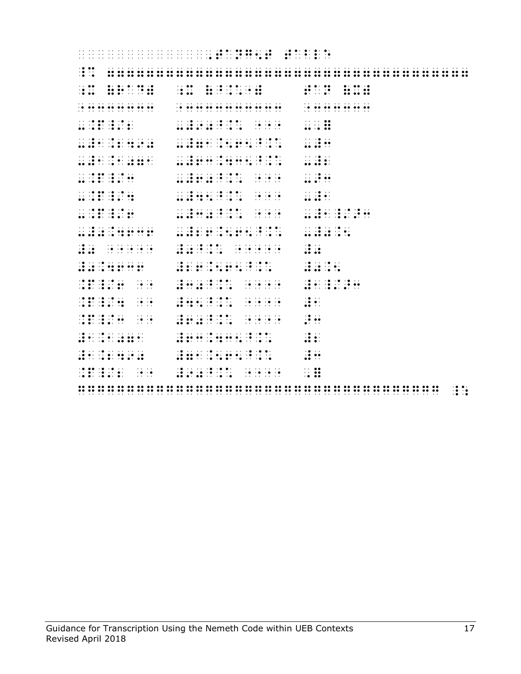|  |               |  |  |  |  |  |  |  |  | 111   122   132   133   134   135   135   135   135   135   135   135   135   135   135   135   135   135   13<br>136   137   138   138   138   138   138   138   138   138   138   138   138   138   138   138   138   138   1<br>1 |  |  |                                                                                                                                                                                                                                      |  |  |  |  |  |  |  |
|--|---------------|--|--|--|--|--|--|--|--|--------------------------------------------------------------------------------------------------------------------------------------------------------------------------------------------------------------------------------------|--|--|--------------------------------------------------------------------------------------------------------------------------------------------------------------------------------------------------------------------------------------|--|--|--|--|--|--|--|
|  |               |  |  |  |  |  |  |  |  |                                                                                                                                                                                                                                      |  |  |                                                                                                                                                                                                                                      |  |  |  |  |  |  |  |
|  |               |  |  |  |  |  |  |  |  |                                                                                                                                                                                                                                      |  |  |                                                                                                                                                                                                                                      |  |  |  |  |  |  |  |
|  |               |  |  |  |  |  |  |  |  | in a composito de la casa de la composito de la casa de la composito de la casa de la casa de la casa de la ca<br>1991 - La casa de la casa de la casa de la casa de la casa de la casa de la casa de la casa de la casa de la<br>19 |  |  |                                                                                                                                                                                                                                      |  |  |  |  |  |  |  |
|  |               |  |  |  |  |  |  |  |  | in de la propia de la carra de la carra de la carra de la carra de la carra de la carra de la carra de la carr<br>1991 - La carra de la carra de la carra de la carra de la carra de la carra de la carra de la carra de la car<br>1 |  |  |                                                                                                                                                                                                                                      |  |  |  |  |  |  |  |
|  |               |  |  |  |  |  |  |  |  |                                                                                                                                                                                                                                      |  |  |                                                                                                                                                                                                                                      |  |  |  |  |  |  |  |
|  |               |  |  |  |  |  |  |  |  |                                                                                                                                                                                                                                      |  |  | in de les propies de la companya de la companya de la companya de la companya de la companya de la companya de<br>1990 : les primeiras de la companya de la companya de la companya de la companya de la companya de la companya<br> |  |  |  |  |  |  |  |
|  |               |  |  |  |  |  |  |  |  |                                                                                                                                                                                                                                      |  |  |                                                                                                                                                                                                                                      |  |  |  |  |  |  |  |
|  |               |  |  |  |  |  |  |  |  |                                                                                                                                                                                                                                      |  |  |                                                                                                                                                                                                                                      |  |  |  |  |  |  |  |
|  | $\frac{1}{2}$ |  |  |  |  |  |  |  |  | المناطق المناطق المناطق المناطق المناطق المناطق المناطق المناطق المناطق المناطق المناطق المناطق المناطق المناط<br>والمناطق المناطق المناطق المناطق المناطق المناطق المناطق المناطق المناطق المناطق المناطق المناطق المناطق المن      |  |  |                                                                                                                                                                                                                                      |  |  |  |  |  |  |  |
|  |               |  |  |  |  |  |  |  |  |                                                                                                                                                                                                                                      |  |  |                                                                                                                                                                                                                                      |  |  |  |  |  |  |  |
|  |               |  |  |  |  |  |  |  |  |                                                                                                                                                                                                                                      |  |  | ה בישראש את הראשון היה בה בה בה היה היא של שהורה היא של היה בישראל.<br>ששות הראשון של השישור היה היא של היה היה בה היא של היה של היה של היה של היה של היה של היה של היה של היה היה של<br>הראשון של השישור היה של היה היה היה היה הי  |  |  |  |  |  |  |  |
|  | <b>HIMMED</b> |  |  |  |  |  |  |  |  |                                                                                                                                                                                                                                      |  |  |                                                                                                                                                                                                                                      |  |  |  |  |  |  |  |
|  |               |  |  |  |  |  |  |  |  | 1980 - De La Brazil, estado de la contrada de la califactura de la califactura de la califactura de la califac<br>1980 - La Carlo de La Califactura de la califactura de la califactura de la califactura de la califactura de<br>19 |  |  |                                                                                                                                                                                                                                      |  |  |  |  |  |  |  |
|  |               |  |  |  |  |  |  |  |  | ing and a great contract the company of the company of the company of the company of the company of the company<br>The great company of the company of the company of the company of the company of the company of the company of    |  |  |                                                                                                                                                                                                                                      |  |  |  |  |  |  |  |
|  |               |  |  |  |  |  |  |  |  |                                                                                                                                                                                                                                      |  |  |                                                                                                                                                                                                                                      |  |  |  |  |  |  |  |
|  |               |  |  |  |  |  |  |  |  | 1980 - De La Brazil, estado de la contra de la Cartella de La Cartella de La Cartella de La Cartella de La Car<br>1980 - La Cartella de La Cartella de La Cartella de La Cartella de La Cartella de La Cartella de La Cartella<br>19 |  |  |                                                                                                                                                                                                                                      |  |  |  |  |  |  |  |
|  |               |  |  |  |  |  |  |  |  |                                                                                                                                                                                                                                      |  |  |                                                                                                                                                                                                                                      |  |  |  |  |  |  |  |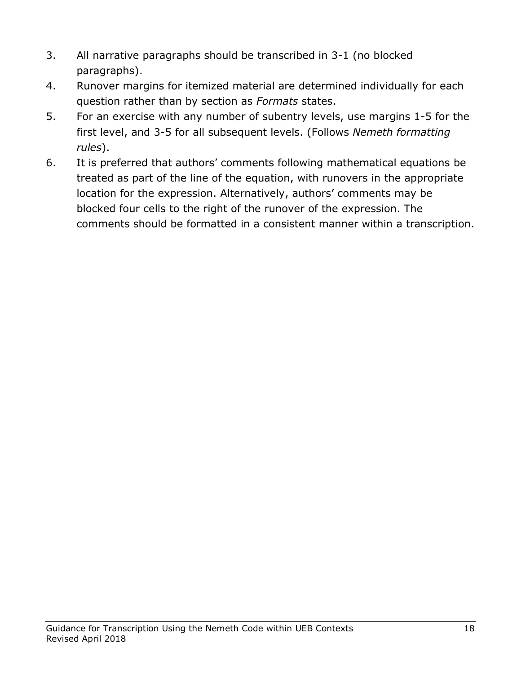- 3. All narrative paragraphs should be transcribed in 3-1 (no blocked paragraphs).
- 4. Runover margins for itemized material are determined individually for each question rather than by section as *Formats* states.
- 5. For an exercise with any number of subentry levels, use margins 1-5 for the first level, and 3-5 for all subsequent levels. (Follows *Nemeth formatting rules*).
- 6. It is preferred that authors' comments following mathematical equations be treated as part of the line of the equation, with runovers in the appropriate location for the expression. Alternatively, authors' comments may be blocked four cells to the right of the runover of the expression. The comments should be formatted in a consistent manner within a transcription.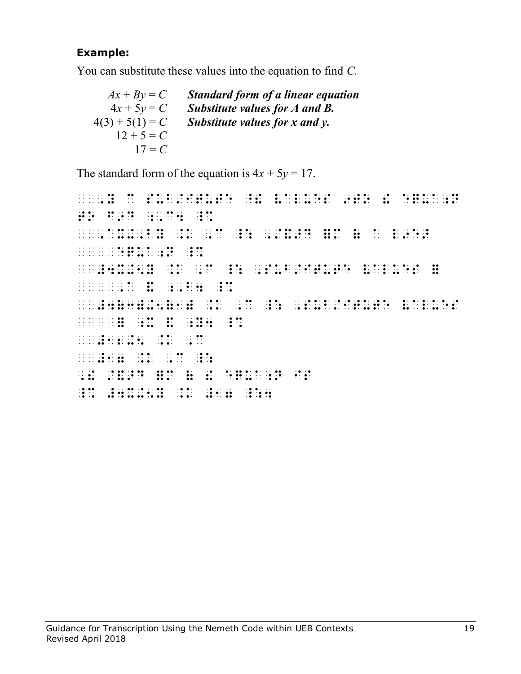You can substitute these values into the equation to find *C.*

| $Ax + By = C$     | Standard form of a linear equation    |
|-------------------|---------------------------------------|
| $4x + 5y = C$     | Substitute values for A and B.        |
| $4(3) + 5(1) = C$ | <b>Substitute values for x and y.</b> |
| $12 + 5 = C$      |                                       |
| $17 = C$          |                                       |

The standard form of the equation is  $4x + 5y = 17$ .

```
\overline{1}, y c sub-itute \overline{1} , y c sub-itute \overline{1} , y c sub-itute \overline{1}to felix and the felix and the felix and the felix and the felix and the felix and the felix and the felix and<br>The felix and felix and the felix and the felix and the felix and the felix and the felix and the felix and th<br>
axharan da de ne na de la sedera la ne de la sedera da sede de la de de la de la ser an estadounidad per la de<br>La la la la la la la de la la la la la la la la lega de la la la la de la la la la la la de la la la la la la<br>
\frac{1}{2} \frac{1}{2} \frac{1}{2} \frac{1}{2} \frac{1}{2} \frac{1}{2} \frac{1}{2} \frac{1}{2} \frac{1}{2} \frac{1}{2} \frac{1}{2} \frac{1}{2} \frac{1}{2} \frac{1}{2} \frac{1}{2} \frac{1}{2} \frac{1}{2} \frac{1}{2} \frac{1}{2} \frac{1}{2} \frac{1}{2} \frac{1}{2} .<br>Littling agost the group of the extreme of the extreme of the experimental extreme of the extension of the ext<br>Littling agost the extreme of the extreme of the extreme of the extreme of the extreme of the extreme of the
⠀⠀⠀⠀,a & ;,b4 _%
ús se sposoba se sposoba se provincial (1994), como la segunda de la contra de sposoba de la contra de de la c<br>As secunda de de de segunda de la contra la secunda (1955), subjectiva de de segunda (1955), que se secunda (<br>
\frac{1}{2}; \frac{1}{2}; \frac{1}{2}; \frac{1}{2}; \frac{1}{2}; \frac{1}{2}; \frac{1}{2}; \frac{1}{2}; \frac{1}{2}; \frac{1}{2}; \frac{1}{2}; \frac{1}{2}; \frac{1}{2}; \frac{1}{2}; \frac{1}{2}; \frac{1}{2}; \frac{1}{2}; \frac{1}{2}; \frac{1}{2}; \frac{1}{2}; ⠀⠀#12+5 .k ,c
⠀⠀#17 .k ,c _:
,! /&>d =m ( ! equa;n is
_% # 4x+5y .k #17 .k #17 .k #17 .k #17 .k #17 .k #17 .k #17 .k #17 .k #17 .k #17 .k #17 .k #17 .k #17 .k #17 .<br>- 4x .k = 4x .k #17 .k #17 .k #17 .k #17 .k #17 .k #17 .k #17 .k #17 .k #17 .k #17 .k #17 .k #17 .k #17 .k #17
```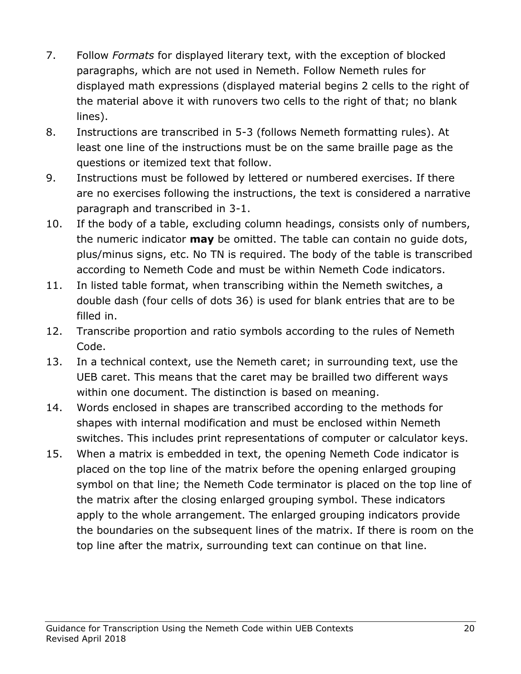- 7. Follow *Formats* for displayed literary text, with the exception of blocked paragraphs, which are not used in Nemeth. Follow Nemeth rules for displayed math expressions (displayed material begins 2 cells to the right of the material above it with runovers two cells to the right of that; no blank lines).
- 8. Instructions are transcribed in 5-3 (follows Nemeth formatting rules). At least one line of the instructions must be on the same braille page as the questions or itemized text that follow.
- 9. Instructions must be followed by lettered or numbered exercises. If there are no exercises following the instructions, the text is considered a narrative paragraph and transcribed in 3-1.
- 10. If the body of a table, excluding column headings, consists only of numbers, the numeric indicator **may** be omitted. The table can contain no guide dots, plus/minus signs, etc. No TN is required. The body of the table is transcribed according to Nemeth Code and must be within Nemeth Code indicators.
- 11. In listed table format, when transcribing within the Nemeth switches, a double dash (four cells of dots 36) is used for blank entries that are to be filled in.
- 12. Transcribe proportion and ratio symbols according to the rules of Nemeth Code.
- 13. In a technical context, use the Nemeth caret; in surrounding text, use the UEB caret. This means that the caret may be brailled two different ways within one document. The distinction is based on meaning.
- 14. Words enclosed in shapes are transcribed according to the methods for shapes with internal modification and must be enclosed within Nemeth switches. This includes print representations of computer or calculator keys.
- 15. When a matrix is embedded in text, the opening Nemeth Code indicator is placed on the top line of the matrix before the opening enlarged grouping symbol on that line; the Nemeth Code terminator is placed on the top line of the matrix after the closing enlarged grouping symbol. These indicators apply to the whole arrangement. The enlarged grouping indicators provide the boundaries on the subsequent lines of the matrix. If there is room on the top line after the matrix, surrounding text can continue on that line.